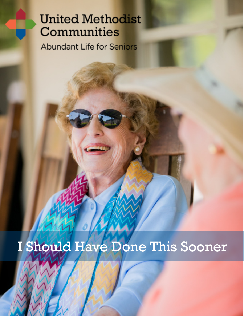## **United Methodist** Communities

**Abundant Life for Seniors** 

# I Should Have Done This Sooner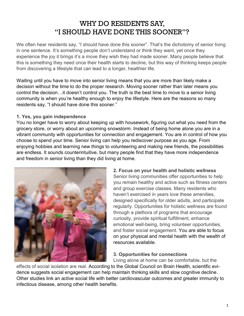### WHY DO RESIDENTS SAY, "I SHOULD HAVE DONE THIS SOONER"?

We often hear residents say, "I should have done this sooner". That's the dichotomy of senior living in one sentence. It's something people don't understand or think they want, yet once they experience the joy it brings it's a move they wish they had made sooner. Many people believe that this is something they need once their health starts to decline, but this way of thinking keeps people from discovering a lifestyle that can lead to a longer, healthier life.

Waiting until you have to move into senior living means that you are more than likely make a decision without the time to do the proper research. Moving sooner rather than later means you control the decision…it doesn't control you. The truth is the best time to move to a senior living community is when you're healthy enough to enjoy the lifestyle. Here are the reasons so many residents say, "I should have done this sooner."

#### **1. Yes, you gain independence**

You no longer have to worry about keeping up with housework, figuring out what you need from the grocery store, or worry about an upcoming snowstorm. Instead of being home alone you are in a vibrant community with opportunities for connection and engagement. You are in control of how you choose to spend your time. Senior living can help you rediscover purpose as you age. From enjoying hobbies and learning new things to volunteering and making new friends, the possibilities are endless. It sounds counterintuitive, but many people find that they have more independence and freedom in senior living than they did living at home.



**2. Focus on your health and holistic wellness** Senior living communities offer opportunities to help you remain healthy and active such as fitness centers and group exercise classes. Many residents who haven't exercised in years love these amenities, designed specifically for older adults, and participate regularly. Opportunities for holistic wellness are found through a plethora of programs that encourage curiosity, provide spiritual fulfillment, enhance emotional well-being, bring volunteer opportunities, and foster social engagement. You are able to focus on your physical and mental health with the wealth of resources available.

**3. Opportunities for connections**

Living alone at home can be comfortable, but the

effects of social isolation are real. According to the Global Council on Brain Health, scientific evidence suggests social engagement can help maintain thinking skills and slow cognitive decline. Other studies link an active social life with better cardiovascular outcomes and greater immunity to infectious disease, among other health benefits.